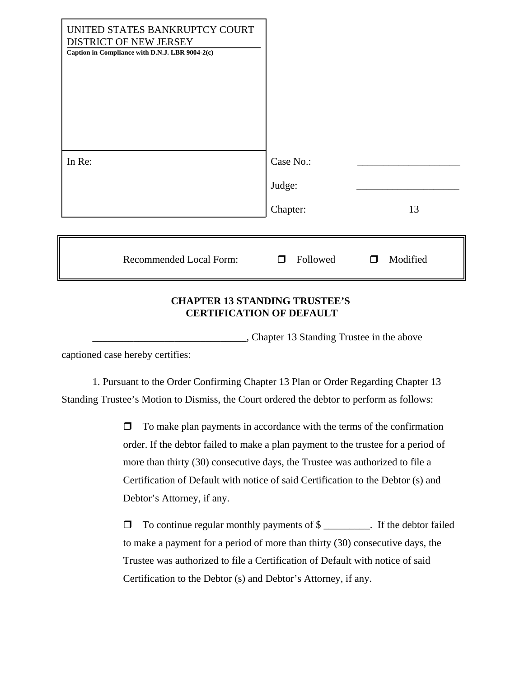| UNITED STATES BANKRUPTCY COURT<br>DISTRICT OF NEW JERSEY<br>Caption in Compliance with D.N.J. LBR 9004-2(c) |                                 |               |
|-------------------------------------------------------------------------------------------------------------|---------------------------------|---------------|
| In Re:                                                                                                      | Case No.:<br>Judge:<br>Chapter: | 13            |
| <b>Recommended Local Form:</b>                                                                              | Followed<br>$\Box$              | Modified<br>П |

## **CHAPTER 13 STANDING TRUSTEE'S CERTIFICATION OF DEFAULT**

\_\_\_\_\_\_\_\_\_\_\_\_\_\_\_\_\_\_\_\_\_\_\_\_\_\_\_\_\_\_, Chapter 13 Standing Trustee in the above

captioned case hereby certifies:

1. Pursuant to the Order Confirming Chapter 13 Plan or Order Regarding Chapter 13 Standing Trustee's Motion to Dismiss, the Court ordered the debtor to perform as follows:

> $\Box$  To make plan payments in accordance with the terms of the confirmation order. If the debtor failed to make a plan payment to the trustee for a period of more than thirty (30) consecutive days, the Trustee was authorized to file a Certification of Default with notice of said Certification to the Debtor (s) and Debtor's Attorney, if any.

 $\Box$  To continue regular monthly payments of  $\$\_\_$ . If the debtor failed to make a payment for a period of more than thirty (30) consecutive days, the Trustee was authorized to file a Certification of Default with notice of said Certification to the Debtor (s) and Debtor's Attorney, if any.